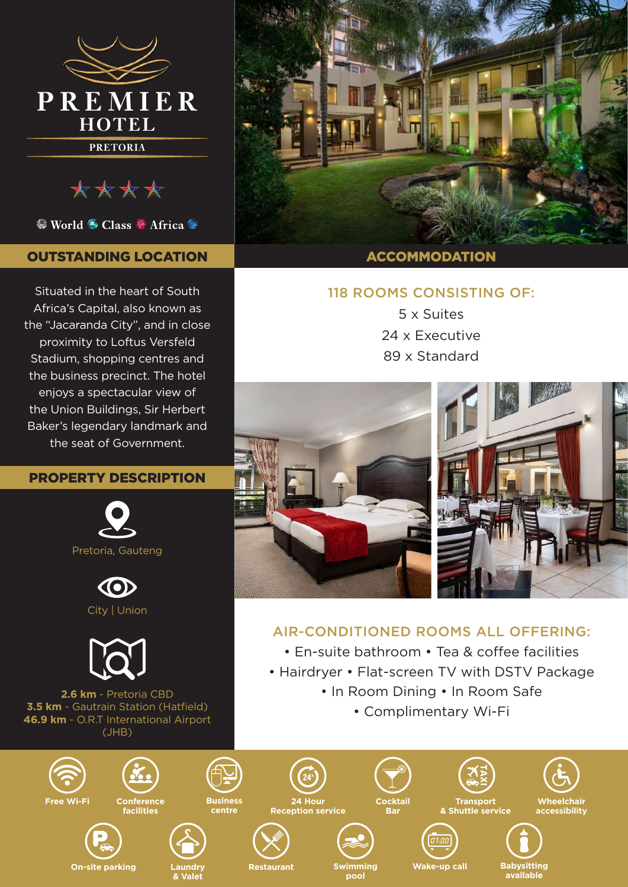

\*\*\*\*

<sup>●</sup> World ● Class ● Africa ●

# OUTSTANDING LOCATION

Situated in the heart of South Africa's Capital, also known as the "Jacaranda City", and in close proximity to Loftus Versfeld Stadium, shopping centres and the business precinct. The hotel enjoys a spectacular view of the Union Buildings, Sir Herbert Baker's legendary landmark and the seat of Government.

# PROPERTY DESCRIPTION







**2.6 km** - Pretoria CBD **3.5 km** - Gautrain Station (Hatfield) **46.9 km** - O.R.T International Airport (JHB)

**& Valet**



### ACCOMMODATION

## 118 ROOMS CONSISTING OF:

5 x Suites 24 x Executive 89 x Standard



# AIR-CONDITIONED ROOMS ALL OFFERING:

- En-suite bathroom Tea & coffee facilities
- Hairdryer Flat-screen TV with DSTV Package
	- In Room Dining In Room Safe
		- Complimentary Wi-Fi

**available**



**pool**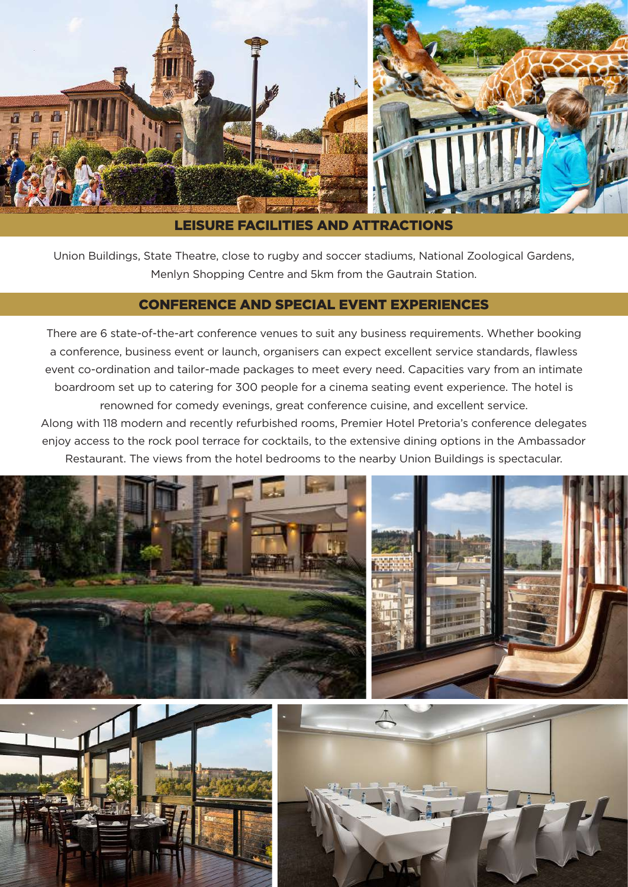

LEISURE FACILITIES AND ATTRACTIONS

Union Buildings, State Theatre, close to rugby and soccer stadiums, National Zoological Gardens, Menlyn Shopping Centre and 5km from the Gautrain Station.

### CONFERENCE AND SPECIAL EVENT EXPERIENCES

There are 6 state-of-the-art conference venues to suit any business requirements. Whether booking a conference, business event or launch, organisers can expect excellent service standards, flawless event co-ordination and tailor-made packages to meet every need. Capacities vary from an intimate boardroom set up to catering for 300 people for a cinema seating event experience. The hotel is renowned for comedy evenings, great conference cuisine, and excellent service. Along with 118 modern and recently refurbished rooms, Premier Hotel Pretoria's conference delegates

enjoy access to the rock pool terrace for cocktails, to the extensive dining options in the Ambassador Restaurant. The views from the hotel bedrooms to the nearby Union Buildings is spectacular.